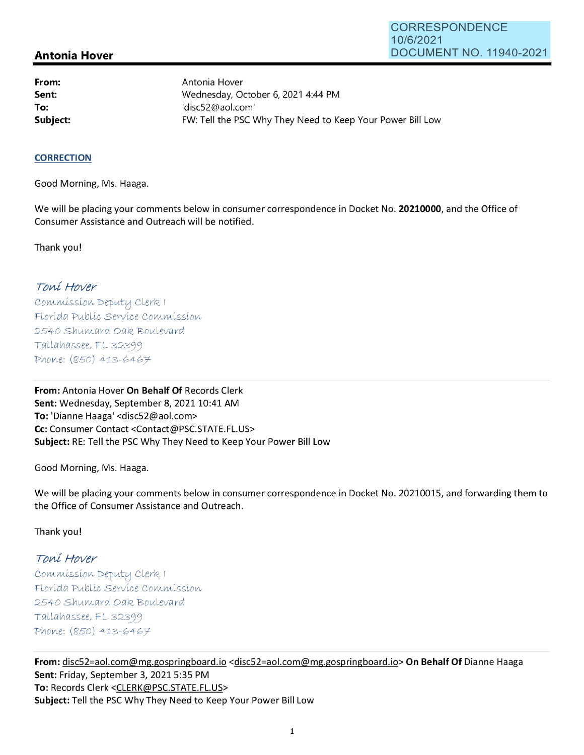## **Antonia Hover**

**From: Sent: To:** 

Antonia Hover Wednesday, October 6, 2021 4:44 PM 'disc52@aol.com' **Subject: EXALG:** FW: Tell the PSC Why They Need to Keep Your Power Bill Low

## **CORRECTION**

Good Morning, Ms. Haaga.

We will be placing your comments below in consumer correspondence in Docket No. **20210000,** and the Office of Consumer Assistance and Outreach will be notified.

Thank you!

## Toní Hover

Commission Deputy Clerk I Florída Publíc Service Commission 2540 Shumard Oak Boulevard  $Tallahasse, FL 32399$ Phone: (850) 413-6467

**From:** Antonia Hover **On Behalf Of** Records Clerk Sent: Wednesday, September 8, 2021 10:41 AM **To:** 'Dianne Haaga' <disc52@aol.com> **Cc:** Consumer Contact <Contact@PSC.STATE.FL.US> **Subject:** RE: Tell the PSC Why They Need to Keep Your Power Bill Low

Good Morning, Ms. Haaga.

We will be placing your comments below in consumer correspondence in Docket No. 20210015, and forwarding them to the Office of Consumer Assistance and Outreach.

Thank you!

## Toní Hover

 $Commonission$  Deputy Clerk I Florída Publíc Servíce Commission 2540 Shumard Oak Boulevard  $Tallahasse, FL 32399$ Phone: (850) 413-6467

**From:** disc52=aol.com@mg.gospringboard.io <disc52=aol.com@mg.gospringboard.io> **On Behalf Of** Dianne Haaga **Sent:** Friday, September 3, 2021 5:35 PM **To:** Records Clerk <CLERK@PSC.STATE.FL.US> **Subject:** Tell the PSC Why They Need to Keep Your Power Bill Low